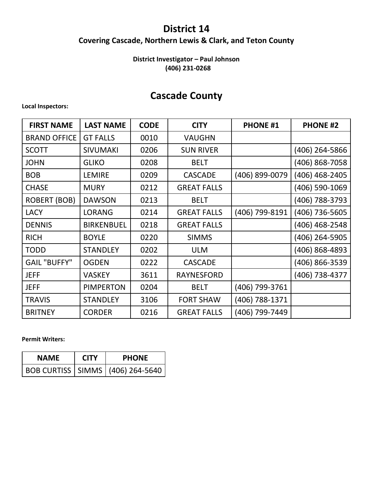### **District 14**

### **Covering Cascade, Northern Lewis & Clark, and Teton County**

#### **District Investigator – Paul Johnson (406) 231-0268**

### **Cascade County**

#### **Local Inspectors:**

| <b>FIRST NAME</b>   | <b>LAST NAME</b>  | <b>CODE</b> | <b>CITY</b>        | <b>PHONE #1</b> | <b>PHONE #2</b> |
|---------------------|-------------------|-------------|--------------------|-----------------|-----------------|
| <b>BRAND OFFICE</b> | <b>GT FALLS</b>   | 0010        | <b>VAUGHN</b>      |                 |                 |
| <b>SCOTT</b>        | <b>SIVUMAKI</b>   | 0206        | <b>SUN RIVER</b>   |                 | (406) 264-5866  |
| <b>JOHN</b>         | <b>GLIKO</b>      | 0208        | <b>BELT</b>        |                 | (406) 868-7058  |
| <b>BOB</b>          | <b>LEMIRE</b>     | 0209        | <b>CASCADE</b>     | (406) 899-0079  | (406) 468-2405  |
| <b>CHASE</b>        | <b>MURY</b>       | 0212        | <b>GREAT FALLS</b> |                 | (406) 590-1069  |
| <b>ROBERT (BOB)</b> | <b>DAWSON</b>     | 0213        | <b>BELT</b>        |                 | (406) 788-3793  |
| <b>LACY</b>         | <b>LORANG</b>     | 0214        | <b>GREAT FALLS</b> | (406) 799-8191  | (406) 736-5605  |
| <b>DENNIS</b>       | <b>BIRKENBUEL</b> | 0218        | <b>GREAT FALLS</b> |                 | (406) 468-2548  |
| <b>RICH</b>         | <b>BOYLE</b>      | 0220        | <b>SIMMS</b>       |                 | (406) 264-5905  |
| <b>TODD</b>         | <b>STANDLEY</b>   | 0202        | <b>ULM</b>         |                 | (406) 868-4893  |
| <b>GAIL "BUFFY"</b> | <b>OGDEN</b>      | 0222        | <b>CASCADE</b>     |                 | (406) 866-3539  |
| <b>JEFF</b>         | <b>VASKEY</b>     | 3611        | <b>RAYNESFORD</b>  |                 | (406) 738-4377  |
| <b>JEFF</b>         | <b>PIMPERTON</b>  | 0204        | <b>BELT</b>        | (406) 799-3761  |                 |
| <b>TRAVIS</b>       | <b>STANDLEY</b>   | 3106        | <b>FORT SHAW</b>   | (406) 788-1371  |                 |
| <b>BRITNEY</b>      | <b>CORDER</b>     | 0216        | <b>GREAT FALLS</b> | (406) 799-7449  |                 |

**Permit Writers:**

| <b>NAMF</b> | <b>CITY</b> | <b>PHONE</b>                         |
|-------------|-------------|--------------------------------------|
|             |             | BOB CURTISS   SIMMS   (406) 264-5640 |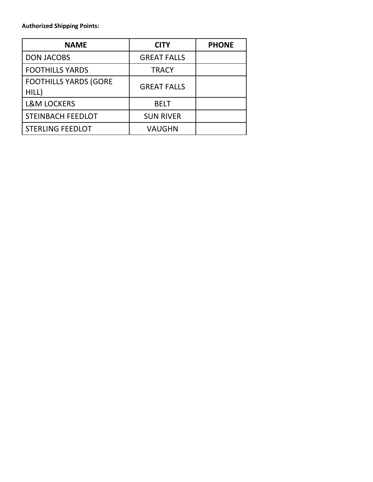**Authorized Shipping Points:**

| <b>NAME</b>                           | <b>CITY</b>        | <b>PHONE</b> |
|---------------------------------------|--------------------|--------------|
| <b>DON JACOBS</b>                     | <b>GREAT FALLS</b> |              |
| <b>FOOTHILLS YARDS</b>                | <b>TRACY</b>       |              |
| <b>FOOTHILLS YARDS (GORE</b><br>HILL) | <b>GREAT FALLS</b> |              |
| <b>L&amp;M LOCKERS</b>                | <b>BELT</b>        |              |
| <b>STEINBACH FEEDLOT</b>              | <b>SUN RIVER</b>   |              |
| <b>STERLING FEEDLOT</b>               | VAUGHN             |              |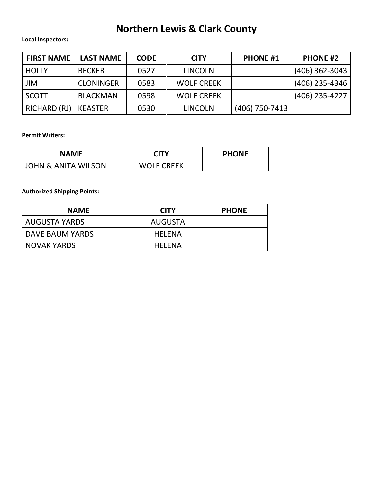# **Northern Lewis & Clark County**

#### **Local Inspectors:**

| <b>FIRST NAME</b> | <b>LAST NAME</b> | <b>CODE</b> | <b>CITY</b>       | <b>PHONE #1</b> | <b>PHONE #2</b>  |
|-------------------|------------------|-------------|-------------------|-----------------|------------------|
| <b>HOLLY</b>      | <b>BECKER</b>    | 0527        | <b>LINCOLN</b>    |                 | $(406)$ 362-3043 |
| <b>JIM</b>        | <b>CLONINGER</b> | 0583        | <b>WOLF CREEK</b> |                 | (406) 235-4346   |
| SCOTT             | <b>BLACKMAN</b>  | 0598        | <b>WOLF CREEK</b> |                 | $(406)$ 235-4227 |
| RICHARD (RJ)      | KEASTER          | 0530        | <b>LINCOLN</b>    | (406) 750-7413  |                  |

#### **Permit Writers:**

| <b>NAME</b>                    | <b>CITY</b>       | <b>PHONE</b> |
|--------------------------------|-------------------|--------------|
| <b>JOHN &amp; ANITA WILSON</b> | <b>WOLF CREEK</b> |              |

**Authorized Shipping Points:**

| <b>NAME</b>        | <b>CITY</b>   | <b>PHONE</b> |
|--------------------|---------------|--------------|
| AUGUSTA YARDS      | AUGUSTA       |              |
| DAVE BAUM YARDS    | <b>HFIFNA</b> |              |
| <b>NOVAK YARDS</b> | <b>HFIFNA</b> |              |